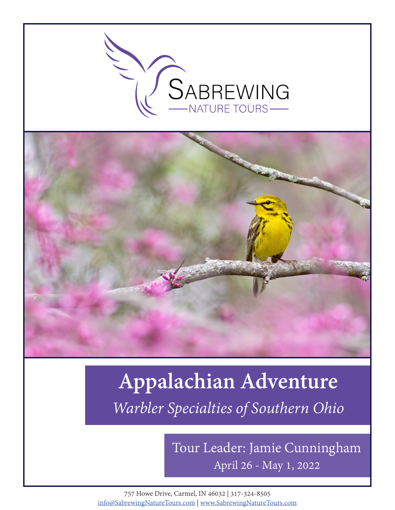



# **Appalachian Adventure** *Warbler Specialties of Southern Ohio*

April 26 - May 1, 2022 Tour Leader: Jamie Cunningham

757 Howe Drive, Carmel, IN 46032 | 317-324-8505 info@SabrewingNatureTours.com | www.SabrewingNatureTours.com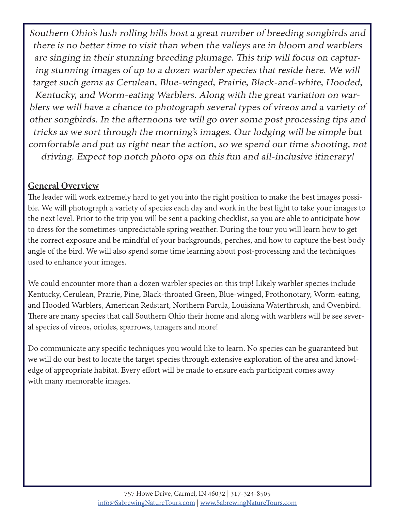Southern Ohio's lush rolling hills host a great number of breeding songbirds and there is no better time to visit than when the valleys are in bloom and warblers are singing in their stunning breeding plumage. This trip will focus on capturing stunning images of up to a dozen warbler species that reside here. We will target such gems as Cerulean, Blue-winged, Prairie, Black-and-white, Hooded, Kentucky, and Worm-eating Warblers. Along with the great variation on warblers we will have a chance to photograph several types of vireos and a variety of other songbirds. In the afternoons we will go over some post processing tips and tricks as we sort through the morning's images. Our lodging will be simple but comfortable and put us right near the action, so we spend our time shooting, not driving. Expect top notch photo ops on this fun and all-inclusive itinerary!

#### **General Overview**

The leader will work extremely hard to get you into the right position to make the best images possible. We will photograph a variety of species each day and work in the best light to take your images to the next level. Prior to the trip you will be sent a packing checklist, so you are able to anticipate how to dress for the sometimes-unpredictable spring weather. During the tour you will learn how to get the correct exposure and be mindful of your backgrounds, perches, and how to capture the best body angle of the bird. We will also spend some time learning about post-processing and the techniques used to enhance your images.

We could encounter more than a dozen warbler species on this trip! Likely warbler species include Kentucky, Cerulean, Prairie, Pine, Black-throated Green, Blue-winged, Prothonotary, Worm-eating, and Hooded Warblers, American Redstart, Northern Parula, Louisiana Waterthrush, and Ovenbird. There are many species that call Southern Ohio their home and along with warblers will be see several species of vireos, orioles, sparrows, tanagers and more!

Do communicate any specific techniques you would like to learn. No species can be guaranteed but we will do our best to locate the target species through extensive exploration of the area and knowledge of appropriate habitat. Every effort will be made to ensure each participant comes away with many memorable images.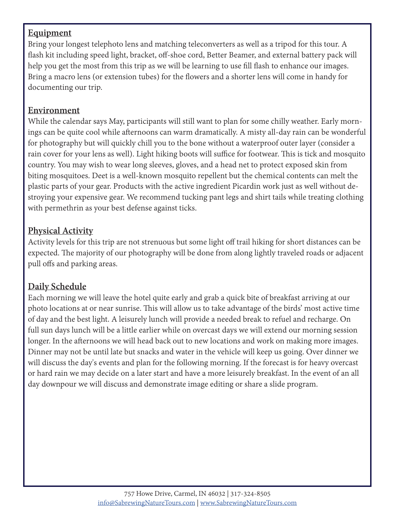#### **Equipment**

Bring your longest telephoto lens and matching teleconverters as well as a tripod for this tour. A flash kit including speed light, bracket, off-shoe cord, Better Beamer, and external battery pack will help you get the most from this trip as we will be learning to use fill flash to enhance our images. Bring a macro lens (or extension tubes) for the flowers and a shorter lens will come in handy for documenting our trip.

#### **Environment**

While the calendar says May, participants will still want to plan for some chilly weather. Early mornings can be quite cool while afternoons can warm dramatically. A misty all-day rain can be wonderful for photography but will quickly chill you to the bone without a waterproof outer layer (consider a rain cover for your lens as well). Light hiking boots will suffice for footwear. This is tick and mosquito country. You may wish to wear long sleeves, gloves, and a head net to protect exposed skin from biting mosquitoes. Deet is a well-known mosquito repellent but the chemical contents can melt the plastic parts of your gear. Products with the active ingredient Picardin work just as well without destroying your expensive gear. We recommend tucking pant legs and shirt tails while treating clothing with permethrin as your best defense against ticks.

#### **Physical Activity**

Activity levels for this trip are not strenuous but some light off trail hiking for short distances can be expected. The majority of our photography will be done from along lightly traveled roads or adjacent pull offs and parking areas.

## **Daily Schedule**

Each morning we will leave the hotel quite early and grab a quick bite of breakfast arriving at our photo locations at or near sunrise. This will allow us to take advantage of the birds' most active time of day and the best light. A leisurely lunch will provide a needed break to refuel and recharge. On full sun days lunch will be a little earlier while on overcast days we will extend our morning session longer. In the afternoons we will head back out to new locations and work on making more images. Dinner may not be until late but snacks and water in the vehicle will keep us going. Over dinner we will discuss the day's events and plan for the following morning. If the forecast is for heavy overcast or hard rain we may decide on a later start and have a more leisurely breakfast. In the event of an all day downpour we will discuss and demonstrate image editing or share a slide program.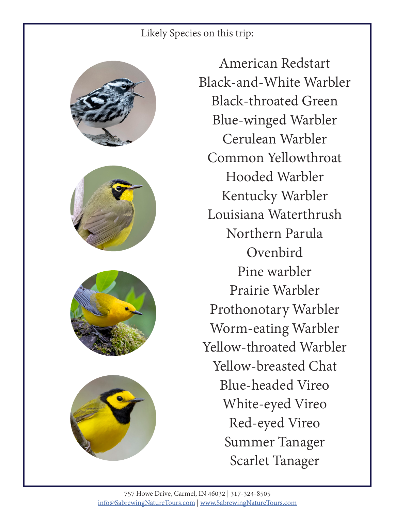## Likely Species on this trip:









American Redstart Black-and-White Warbler Black-throated Green Blue-winged Warbler Cerulean Warbler Common Yellowthroat Hooded Warbler Kentucky Warbler Louisiana Waterthrush Northern Parula Ovenbird Pine warbler Prairie Warbler Prothonotary Warbler Worm-eating Warbler Yellow-throated Warbler Yellow-breasted Chat Blue-headed Vireo White-eyed Vireo Red-eyed Vireo Summer Tanager Scarlet Tanager